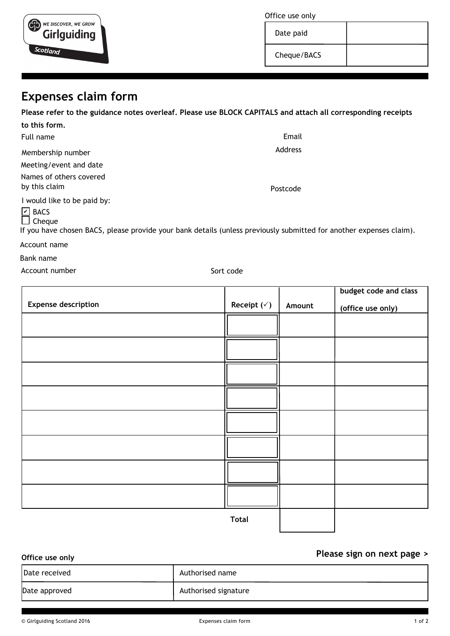| Office use only |  |
|-----------------|--|
|-----------------|--|

Date paid

Cheque/BACS

# **Expenses claim form**

WE DISCOVER, WE GROW **Girlguiding** 

Scotland

**Please refer to the guidance notes overleaf. Please use BLOCK CAPITALS and attach all corresponding receipts**

| to this form.                                   |          |
|-------------------------------------------------|----------|
| Full name                                       | Email    |
| Membership number                               | Address  |
| Meeting/event and date                          |          |
| Names of others covered<br>by this claim        | Postcode |
| I would like to be paid by:<br>$\boxed{2}$ BACS |          |

 $\Box$  Cheque

If you have chosen BACS, please provide your bank details (unless previously submitted for another expenses claim).

Account name

Bank name

Account number Sort code

|                            |                        |        | budget code and class |
|----------------------------|------------------------|--------|-----------------------|
| <b>Expense description</b> | Receipt $(\check{ }')$ | Amount | (office use only)     |
|                            |                        |        |                       |
|                            |                        |        |                       |
|                            |                        |        |                       |
|                            |                        |        |                       |
|                            |                        |        |                       |
|                            |                        |        |                       |
|                            |                        |        |                       |
|                            |                        |        |                       |
|                            |                        |        |                       |
|                            |                        |        |                       |
|                            |                        |        |                       |
|                            |                        |        |                       |
|                            |                        |        |                       |
|                            |                        |        |                       |
|                            |                        |        |                       |
|                            | <b>Total</b>           |        |                       |

**Total**

**Please sign on next page > Office use only** Date received and all the latest part of the Date received and all the latest part of the latest part of the l Date approved Authorised signature